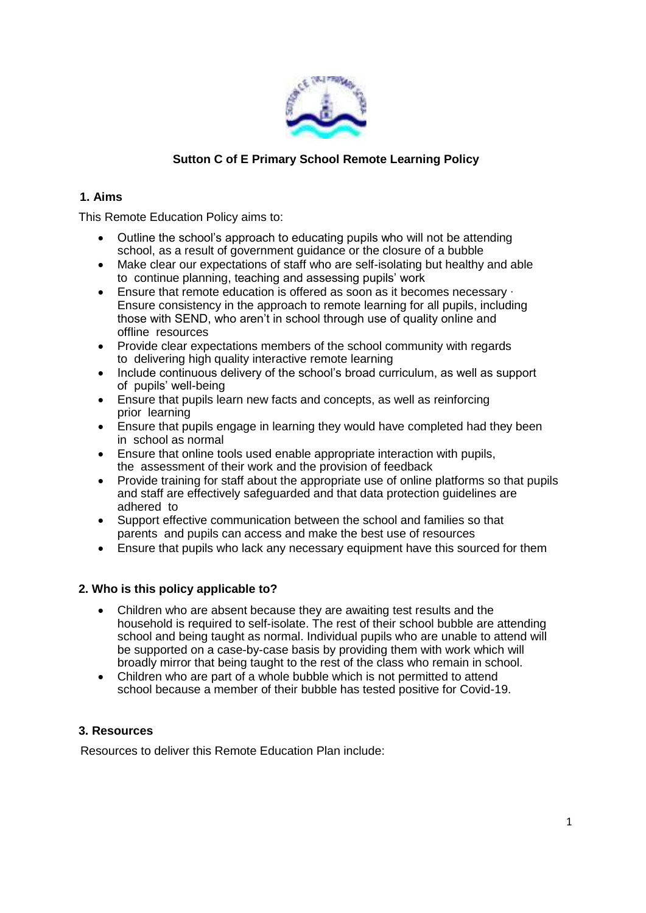

# **Sutton C of E Primary School Remote Learning Policy**

### **1. Aims**

This Remote Education Policy aims to:

- Outline the school's approach to educating pupils who will not be attending school, as a result of government guidance or the closure of a bubble
- Make clear our expectations of staff who are self-isolating but healthy and able to continue planning, teaching and assessing pupils' work
- Ensure that remote education is offered as soon as it becomes necessary ∙ Ensure consistency in the approach to remote learning for all pupils, including those with SEND, who aren't in school through use of quality online and offline resources
- Provide clear expectations members of the school community with regards to delivering high quality interactive remote learning
- Include continuous delivery of the school's broad curriculum, as well as support of pupils' well-being
- Ensure that pupils learn new facts and concepts, as well as reinforcing prior learning
- Ensure that pupils engage in learning they would have completed had they been in school as normal
- Ensure that online tools used enable appropriate interaction with pupils, the assessment of their work and the provision of feedback
- Provide training for staff about the appropriate use of online platforms so that pupils and staff are effectively safeguarded and that data protection guidelines are adhered to
- Support effective communication between the school and families so that parents and pupils can access and make the best use of resources
- Ensure that pupils who lack any necessary equipment have this sourced for them

### **2. Who is this policy applicable to?**

- Children who are absent because they are awaiting test results and the household is required to self-isolate. The rest of their school bubble are attending school and being taught as normal. Individual pupils who are unable to attend will be supported on a case-by-case basis by providing them with work which will broadly mirror that being taught to the rest of the class who remain in school.
- Children who are part of a whole bubble which is not permitted to attend school because a member of their bubble has tested positive for Covid-19.

# **3. Resources**

Resources to deliver this Remote Education Plan include: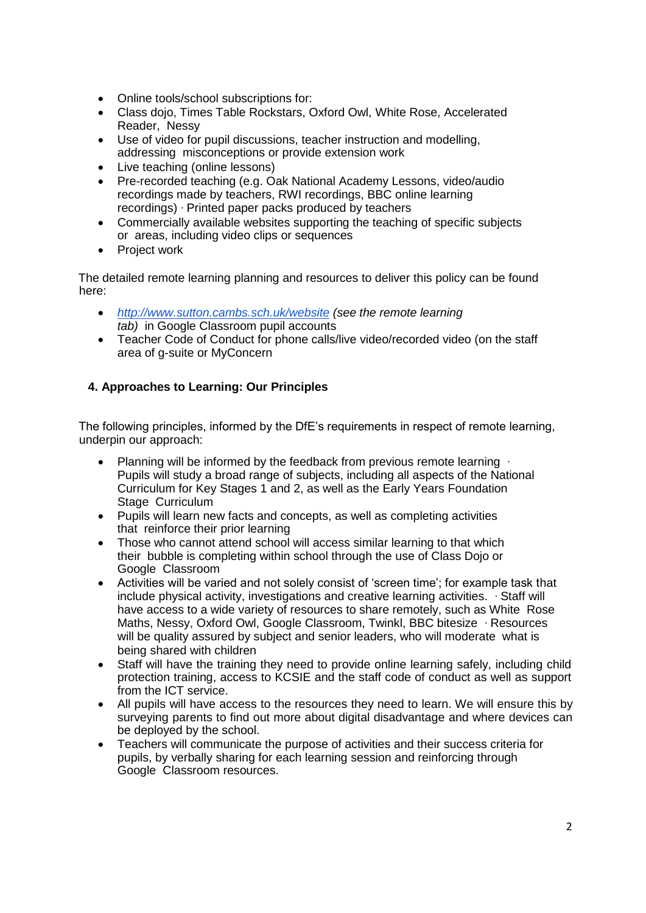- Online tools/school subscriptions for:
- Class dojo, Times Table Rockstars, Oxford Owl, White Rose, Accelerated Reader, Nessy
- Use of video for pupil discussions, teacher instruction and modelling, addressing misconceptions or provide extension work
- Live teaching (online lessons)
- Pre-recorded teaching (e.g. Oak National Academy Lessons, video/audio recordings made by teachers, RWI recordings, BBC online learning recordings) ∙ Printed paper packs produced by teachers
- Commercially available websites supporting the teaching of specific subjects or areas, including video clips or sequences
- Project work

The detailed remote learning planning and resources to deliver this policy can be found here:

- *http://www.sutton.cambs.sch.uk/website (see the remote learning tab)* in Google Classroom pupil accounts
- Teacher Code of Conduct for phone calls/live video/recorded video (on the staff area of g-suite or MyConcern

# **4. Approaches to Learning: Our Principles**

The following principles, informed by the DfE's requirements in respect of remote learning, underpin our approach:

- Planning will be informed by the feedback from previous remote learning ⋅ Pupils will study a broad range of subjects, including all aspects of the National Curriculum for Key Stages 1 and 2, as well as the Early Years Foundation Stage Curriculum
- Pupils will learn new facts and concepts, as well as completing activities that reinforce their prior learning
- Those who cannot attend school will access similar learning to that which their bubble is completing within school through the use of Class Dojo or Google Classroom
- Activities will be varied and not solely consist of 'screen time'; for example task that include physical activity, investigations and creative learning activities. ∙ Staff will have access to a wide variety of resources to share remotely, such as White Rose Maths, Nessy, Oxford Owl, Google Classroom, Twinkl, BBC bitesize ∙ Resources will be quality assured by subject and senior leaders, who will moderate what is being shared with children
- Staff will have the training they need to provide online learning safely, including child protection training, access to KCSIE and the staff code of conduct as well as support from the ICT service.
- All pupils will have access to the resources they need to learn. We will ensure this by surveying parents to find out more about digital disadvantage and where devices can be deployed by the school.
- Teachers will communicate the purpose of activities and their success criteria for pupils, by verbally sharing for each learning session and reinforcing through Google Classroom resources.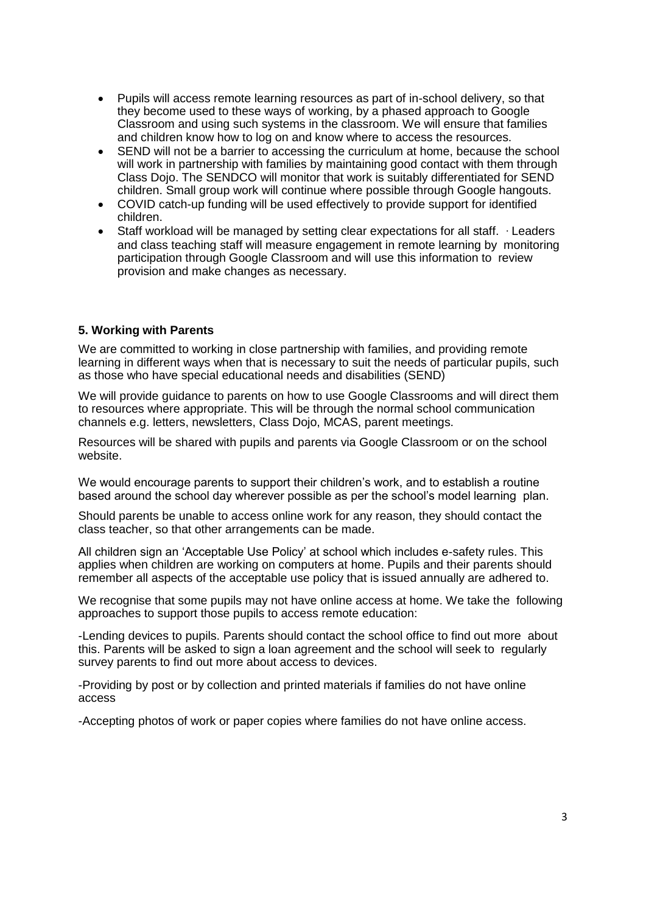- Pupils will access remote learning resources as part of in-school delivery, so that they become used to these ways of working, by a phased approach to Google Classroom and using such systems in the classroom. We will ensure that families and children know how to log on and know where to access the resources.
- SEND will not be a barrier to accessing the curriculum at home, because the school will work in partnership with families by maintaining good contact with them through Class Dojo. The SENDCO will monitor that work is suitably differentiated for SEND children. Small group work will continue where possible through Google hangouts.
- COVID catch-up funding will be used effectively to provide support for identified children.
- Staff workload will be managed by setting clear expectations for all staff. ∙ Leaders and class teaching staff will measure engagement in remote learning by monitoring participation through Google Classroom and will use this information to review provision and make changes as necessary.

### **5. Working with Parents**

We are committed to working in close partnership with families, and providing remote learning in different ways when that is necessary to suit the needs of particular pupils, such as those who have special educational needs and disabilities (SEND)

We will provide guidance to parents on how to use Google Classrooms and will direct them to resources where appropriate. This will be through the normal school communication channels e.g. letters, newsletters, Class Dojo, MCAS, parent meetings.

Resources will be shared with pupils and parents via Google Classroom or on the school website.

We would encourage parents to support their children's work, and to establish a routine based around the school day wherever possible as per the school's model learning plan.

Should parents be unable to access online work for any reason, they should contact the class teacher, so that other arrangements can be made.

All children sign an 'Acceptable Use Policy' at school which includes e-safety rules. This applies when children are working on computers at home. Pupils and their parents should remember all aspects of the acceptable use policy that is issued annually are adhered to.

We recognise that some pupils may not have online access at home. We take the following approaches to support those pupils to access remote education:

-Lending devices to pupils. Parents should contact the school office to find out more about this. Parents will be asked to sign a loan agreement and the school will seek to regularly survey parents to find out more about access to devices.

-Providing by post or by collection and printed materials if families do not have online access

-Accepting photos of work or paper copies where families do not have online access.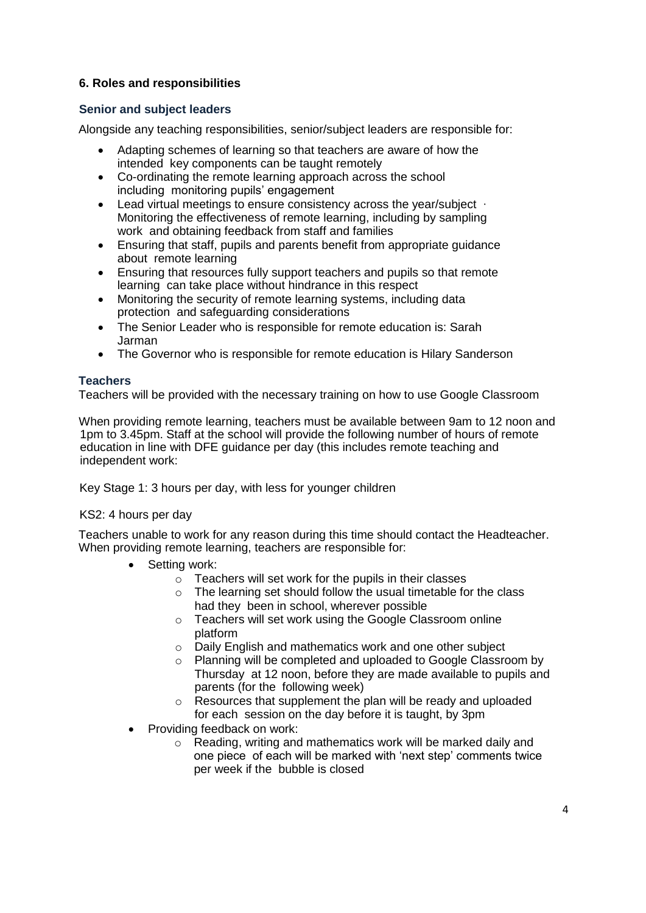# **6. Roles and responsibilities**

### **Senior and subject leaders**

Alongside any teaching responsibilities, senior/subject leaders are responsible for:

- Adapting schemes of learning so that teachers are aware of how the intended key components can be taught remotely
- Co-ordinating the remote learning approach across the school including monitoring pupils' engagement
- Lead virtual meetings to ensure consistency across the year/subject ∙ Monitoring the effectiveness of remote learning, including by sampling work and obtaining feedback from staff and families
- Ensuring that staff, pupils and parents benefit from appropriate guidance about remote learning
- Ensuring that resources fully support teachers and pupils so that remote learning can take place without hindrance in this respect
- Monitoring the security of remote learning systems, including data protection and safeguarding considerations
- The Senior Leader who is responsible for remote education is: Sarah Jarman
- The Governor who is responsible for remote education is Hilary Sanderson

### **Teachers**

Teachers will be provided with the necessary training on how to use Google Classroom

When providing remote learning, teachers must be available between 9am to 12 noon and 1pm to 3.45pm. Staff at the school will provide the following number of hours of remote education in line with DFE guidance per day (this includes remote teaching and independent work:

Key Stage 1: 3 hours per day, with less for younger children

### KS2: 4 hours per day

Teachers unable to work for any reason during this time should contact the Headteacher. When providing remote learning, teachers are responsible for:

- Setting work:
	- o Teachers will set work for the pupils in their classes
	- o The learning set should follow the usual timetable for the class had they been in school, wherever possible
	- o Teachers will set work using the Google Classroom online platform
	- o Daily English and mathematics work and one other subject
	- o Planning will be completed and uploaded to Google Classroom by Thursday at 12 noon, before they are made available to pupils and parents (for the following week)
	- o Resources that supplement the plan will be ready and uploaded for each session on the day before it is taught, by 3pm
- Providing feedback on work:
	- $\circ$  Reading, writing and mathematics work will be marked daily and one piece of each will be marked with 'next step' comments twice per week if the bubble is closed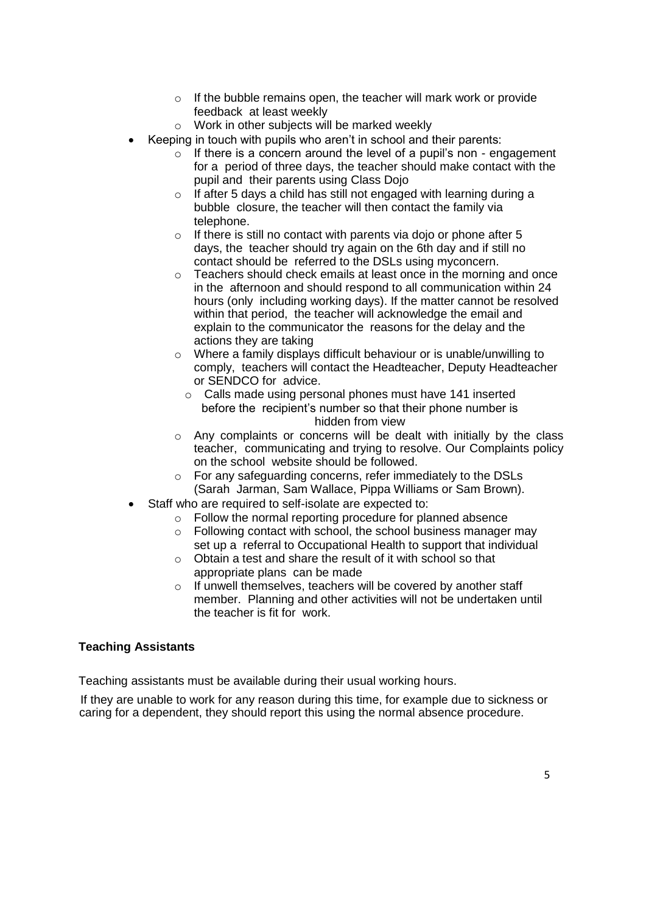- $\circ$  If the bubble remains open, the teacher will mark work or provide feedback at least weekly
- o Work in other subjects will be marked weekly
- Keeping in touch with pupils who aren't in school and their parents:
	- $\circ$  If there is a concern around the level of a pupil's non engagement for a period of three days, the teacher should make contact with the pupil and their parents using Class Dojo
	- $\circ$  If after 5 days a child has still not engaged with learning during a bubble closure, the teacher will then contact the family via telephone.
	- $\circ$  If there is still no contact with parents via doio or phone after 5 days, the teacher should try again on the 6th day and if still no contact should be referred to the DSLs using myconcern.
	- o Teachers should check emails at least once in the morning and once in the afternoon and should respond to all communication within 24 hours (only including working days). If the matter cannot be resolved within that period, the teacher will acknowledge the email and explain to the communicator the reasons for the delay and the actions they are taking
	- o Where a family displays difficult behaviour or is unable/unwilling to comply, teachers will contact the Headteacher, Deputy Headteacher or SENDCO for advice.
		- o Calls made using personal phones must have 141 inserted before the recipient's number so that their phone number is hidden from view
	- o Any complaints or concerns will be dealt with initially by the class teacher, communicating and trying to resolve. Our Complaints policy on the school website should be followed.
	- o For any safeguarding concerns, refer immediately to the DSLs (Sarah Jarman, Sam Wallace, Pippa Williams or Sam Brown).
- Staff who are required to self-isolate are expected to:
	- o Follow the normal reporting procedure for planned absence
	- o Following contact with school, the school business manager may set up a referral to Occupational Health to support that individual
	- $\circ$  Obtain a test and share the result of it with school so that appropriate plans can be made
	- o If unwell themselves, teachers will be covered by another staff member. Planning and other activities will not be undertaken until the teacher is fit for work.

### **Teaching Assistants**

Teaching assistants must be available during their usual working hours.

If they are unable to work for any reason during this time, for example due to sickness or caring for a dependent, they should report this using the normal absence procedure.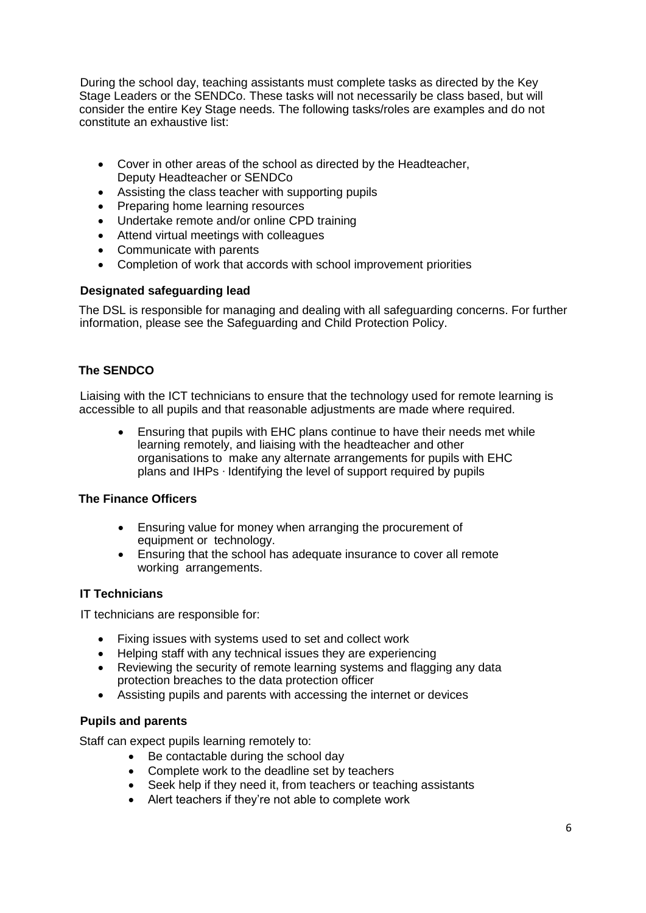During the school day, teaching assistants must complete tasks as directed by the Key Stage Leaders or the SENDCo. These tasks will not necessarily be class based, but will consider the entire Key Stage needs. The following tasks/roles are examples and do not constitute an exhaustive list:

- Cover in other areas of the school as directed by the Headteacher, Deputy Headteacher or SENDCo
- Assisting the class teacher with supporting pupils
- Preparing home learning resources
- Undertake remote and/or online CPD training
- Attend virtual meetings with colleagues
- Communicate with parents
- Completion of work that accords with school improvement priorities

### **Designated safeguarding lead**

The DSL is responsible for managing and dealing with all safeguarding concerns. For further information, please see the Safeguarding and Child Protection Policy.

# **The SENDCO**

Liaising with the ICT technicians to ensure that the technology used for remote learning is accessible to all pupils and that reasonable adjustments are made where required.

 Ensuring that pupils with EHC plans continue to have their needs met while learning remotely, and liaising with the headteacher and other organisations to make any alternate arrangements for pupils with EHC plans and IHPs ∙ Identifying the level of support required by pupils

### **The Finance Officers**

- Ensuring value for money when arranging the procurement of equipment or technology.
- Ensuring that the school has adequate insurance to cover all remote working arrangements.

### **IT Technicians**

IT technicians are responsible for:

- Fixing issues with systems used to set and collect work
- Helping staff with any technical issues they are experiencing
- Reviewing the security of remote learning systems and flagging any data protection breaches to the data protection officer
- Assisting pupils and parents with accessing the internet or devices

### **Pupils and parents**

Staff can expect pupils learning remotely to:

- Be contactable during the school day
- Complete work to the deadline set by teachers
- Seek help if they need it, from teachers or teaching assistants
- Alert teachers if they're not able to complete work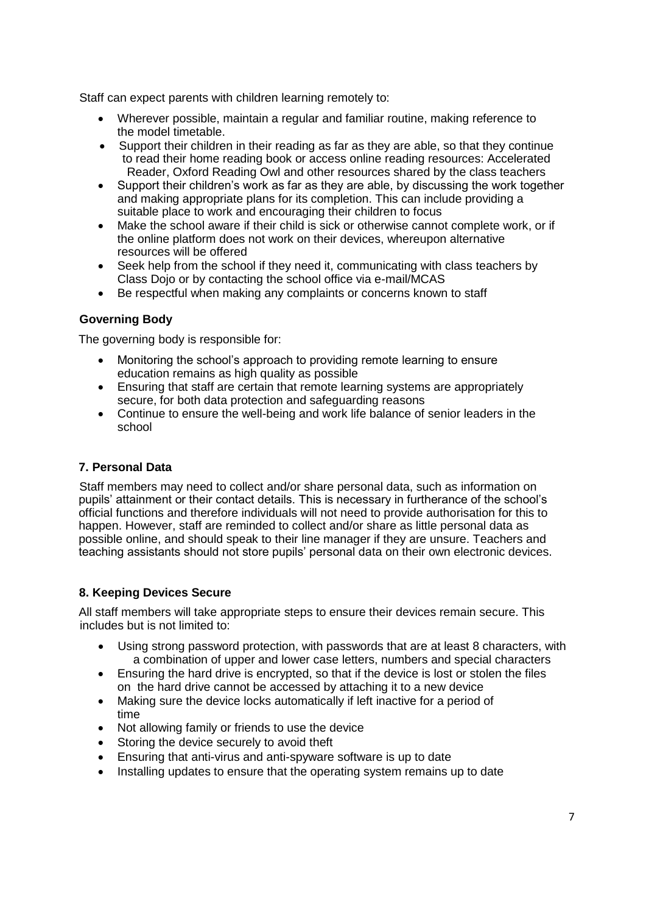Staff can expect parents with children learning remotely to:

- Wherever possible, maintain a regular and familiar routine, making reference to the model timetable.
- Support their children in their reading as far as they are able, so that they continue to read their home reading book or access online reading resources: Accelerated Reader, Oxford Reading Owl and other resources shared by the class teachers
- Support their children's work as far as they are able, by discussing the work together and making appropriate plans for its completion. This can include providing a suitable place to work and encouraging their children to focus
- Make the school aware if their child is sick or otherwise cannot complete work, or if the online platform does not work on their devices, whereupon alternative resources will be offered
- Seek help from the school if they need it, communicating with class teachers by Class Dojo or by contacting the school office via e-mail/MCAS
- Be respectful when making any complaints or concerns known to staff

# **Governing Body**

The governing body is responsible for:

- Monitoring the school's approach to providing remote learning to ensure education remains as high quality as possible
- Ensuring that staff are certain that remote learning systems are appropriately secure, for both data protection and safeguarding reasons
- Continue to ensure the well-being and work life balance of senior leaders in the school

# **7. Personal Data**

Staff members may need to collect and/or share personal data, such as information on pupils' attainment or their contact details. This is necessary in furtherance of the school's official functions and therefore individuals will not need to provide authorisation for this to happen. However, staff are reminded to collect and/or share as little personal data as possible online, and should speak to their line manager if they are unsure. Teachers and teaching assistants should not store pupils' personal data on their own electronic devices.

# **8. Keeping Devices Secure**

All staff members will take appropriate steps to ensure their devices remain secure. This includes but is not limited to:

- Using strong password protection, with passwords that are at least 8 characters, with a combination of upper and lower case letters, numbers and special characters
- Ensuring the hard drive is encrypted, so that if the device is lost or stolen the files on the hard drive cannot be accessed by attaching it to a new device
- Making sure the device locks automatically if left inactive for a period of time
- Not allowing family or friends to use the device
- Storing the device securely to avoid theft
- Ensuring that anti-virus and anti-spyware software is up to date
- Installing updates to ensure that the operating system remains up to date